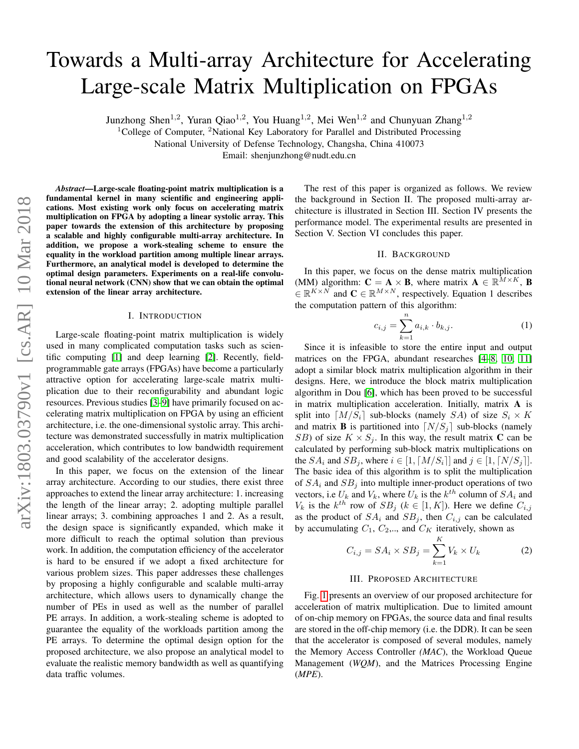# Towards a Multi-array Architecture for Accelerating Large-scale Matrix Multiplication on FPGAs

Junzhong Shen<sup>1,2</sup>, Yuran Qiao<sup>1,2</sup>, You Huang<sup>1,2</sup>, Mei Wen<sup>1,2</sup> and Chunyuan Zhang<sup>1,2</sup>

<sup>1</sup>College of Computer, <sup>2</sup>National Key Laboratory for Parallel and Distributed Processing

National University of Defense Technology, Changsha, China 410073

Email: shenjunzhong@nudt.edu.cn

*Abstract*—Large-scale floating-point matrix multiplication is a fundamental kernel in many scientific and engineering applications. Most existing work only focus on accelerating matrix multiplication on FPGA by adopting a linear systolic array. This paper towards the extension of this architecture by proposing a scalable and highly configurable multi-array architecture. In addition, we propose a work-stealing scheme to ensure the equality in the workload partition among multiple linear arrays. Furthermore, an analytical model is developed to determine the optimal design parameters. Experiments on a real-life convolutional neural network (CNN) show that we can obtain the optimal extension of the linear array architecture.

#### I. INTRODUCTION

Large-scale floating-point matrix multiplication is widely used in many complicated computation tasks such as scientific computing [\[1\]](#page-4-0) and deep learning [\[2\]](#page-4-1). Recently, fieldprogrammable gate arrays (FPGAs) have become a particularly attractive option for accelerating large-scale matrix multiplication due to their reconfigurability and abundant logic resources. Previous studies [\[3–](#page-4-2)[9\]](#page-4-3) have primarily focused on accelerating matrix multiplication on FPGA by using an efficient architecture, i.e. the one-dimensional systolic array. This architecture was demonstrated successfully in matrix multiplication acceleration, which contributes to low bandwidth requirement and good scalability of the accelerator designs.

In this paper, we focus on the extension of the linear array architecture. According to our studies, there exist three approaches to extend the linear array architecture: 1. increasing the length of the linear array; 2. adopting multiple parallel linear arrays; 3. combining approaches 1 and 2. As a result, the design space is significantly expanded, which make it more difficult to reach the optimal solution than previous work. In addition, the computation efficiency of the accelerator is hard to be ensured if we adopt a fixed architecture for various problem sizes. This paper addresses these challenges by proposing a highly configurable and scalable multi-array architecture, which allows users to dynamically change the number of PEs in used as well as the number of parallel PE arrays. In addition, a work-stealing scheme is adopted to guarantee the equality of the workloads partition among the PE arrays. To determine the optimal design option for the proposed architecture, we also propose an analytical model to evaluate the realistic memory bandwidth as well as quantifying data traffic volumes.

The rest of this paper is organized as follows. We review the background in Section II. The proposed multi-array architecture is illustrated in Section III. Section IV presents the performance model. The experimental results are presented in Section V. Section VI concludes this paper.

#### II. BACKGROUND

In this paper, we focus on the dense matrix multiplication (MM) algorithm:  $C = A \times B$ , where matrix  $A \in \mathbb{R}^{M \times K}$ , B  $\in \mathbb{R}^{K \times N}$  and  $\mathbf{C} \in \mathbb{R}^{M \times N}$ , respectively. Equation 1 describes the computation pattern of this algorithm:

$$
c_{i,j} = \sum_{k=1}^{n} a_{i,k} \cdot b_{k,j}.
$$
 (1)

Since it is infeasible to store the entire input and output matrices on the FPGA, abundant researches [\[4](#page-4-4)[–8,](#page-4-5) [10,](#page-4-6) [11\]](#page-4-7) adopt a similar block matrix multiplication algorithm in their designs. Here, we introduce the block matrix multiplication algorithm in Dou [\[6\]](#page-4-8), which has been proved to be successful in matrix multiplication acceleration. Initially, matrix A is split into  $[M/S_i]$  sub-blocks (namely SA) of size  $S_i \times K$ and matrix **B** is partitioned into  $\lfloor N/S_i \rfloor$  sub-blocks (namely SB) of size  $K \times S_i$ . In this way, the result matrix C can be calculated by performing sub-block matrix multiplications on the  $SA_i$  and  $SB_j$ , where  $i \in [1, \lceil M/S_i \rceil]$  and  $j \in [1, \lceil N/S_i \rceil]$ . The basic idea of this algorithm is to split the multiplication of  $SA_i$  and  $SB_j$  into multiple inner-product operations of two vectors, i.e  $U_k$  and  $V_k$ , where  $U_k$  is the  $k^{th}$  column of  $SA_i$  and  $V_k$  is the  $k^{th}$  row of  $SB_j$  ( $k \in [1, K]$ ). Here we define  $C_{i,j}$ as the product of  $SA_i$  and  $SB_j$ , then  $C_{i,j}$  can be calculated by accumulating  $C_1$ ,  $C_2$ ,..., and  $C_K$  iteratively, shown as

$$
C_{i,j} = SA_i \times SB_j = \sum_{k=1}^{K} V_k \times U_k
$$
 (2)

#### III. PROPOSED ARCHITECTURE

Fig. [1](#page-1-0) presents an overview of our proposed architecture for acceleration of matrix multiplication. Due to limited amount of on-chip memory on FPGAs, the source data and final results are stored in the off-chip memory (i.e. the DDR). It can be seen that the accelerator is composed of several modules, namely the Memory Access Controller *(MAC*), the Workload Queue Management (*WQM*), and the Matrices Processing Engine (*MPE*).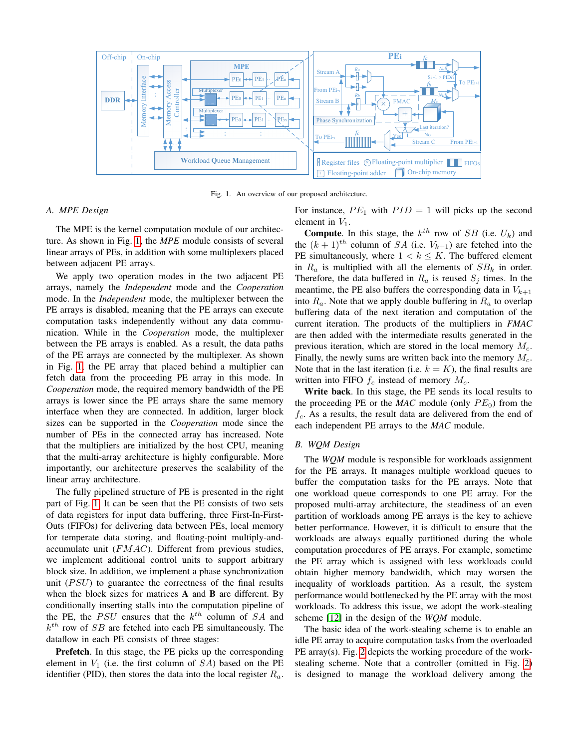

<span id="page-1-0"></span>Fig. 1. An overview of our proposed architecture.

#### *A. MPE Design*

The MPE is the kernel computation module of our architecture. As shown in Fig. [1,](#page-1-0) the *MPE* module consists of several linear arrays of PEs, in addition with some multiplexers placed between adjacent PE arrays.

We apply two operation modes in the two adjacent PE arrays, namely the *Independent* mode and the *Cooperation* mode. In the *Independent* mode, the multiplexer between the PE arrays is disabled, meaning that the PE arrays can execute computation tasks independently without any data communication. While in the *Cooperation* mode, the multiplexer between the PE arrays is enabled. As a result, the data paths of the PE arrays are connected by the multiplexer. As shown in Fig. [1,](#page-1-0) the PE array that placed behind a multiplier can fetch data from the proceeding PE array in this mode. In *Cooperation* mode, the required memory bandwidth of the PE arrays is lower since the PE arrays share the same memory interface when they are connected. In addition, larger block sizes can be supported in the *Cooperation* mode since the number of PEs in the connected array has increased. Note that the multipliers are initialized by the host CPU, meaning that the multi-array architecture is highly configurable. More importantly, our architecture preserves the scalability of the linear array architecture.

The fully pipelined structure of PE is presented in the right part of Fig. [1.](#page-1-0) It can be seen that the PE consists of two sets of data registers for input data buffering, three First-In-First-Outs (FIFOs) for delivering data between PEs, local memory for temperate data storing, and floating-point multiply-andaccumulate unit  $(FMAC)$ . Different from previous studies, we implement additional control units to support arbitrary block size. In addition, we implement a phase synchronization unit  $(PSU)$  to guarantee the correctness of the final results when the block sizes for matrices **A** and **B** are different. By conditionally inserting stalls into the computation pipeline of the PE, the  $PSU$  ensures that the  $k^{th}$  column of SA and  $k^{th}$  row of  $SB$  are fetched into each PE simultaneously. The dataflow in each PE consists of three stages:

Prefetch. In this stage, the PE picks up the corresponding element in  $V_1$  (i.e. the first column of  $SA$ ) based on the PE identifier (PID), then stores the data into the local register  $R_a$ . For instance,  $PE_1$  with  $PID = 1$  will picks up the second element in  $V_1$ .

**Compute**. In this stage, the  $k^{th}$  row of SB (i.e.  $U_k$ ) and the  $(k + 1)^{th}$  column of SA (i.e.  $V_{k+1}$ ) are fetched into the PE simultaneously, where  $1 < k \leq K$ . The buffered element in  $R_a$  is multiplied with all the elements of  $SB_k$  in order. Therefore, the data buffered in  $R_a$  is reused  $S_i$  times. In the meantime, the PE also buffers the corresponding data in  $V_{k+1}$ into  $R_a$ . Note that we apply double buffering in  $R_a$  to overlap buffering data of the next iteration and computation of the current iteration. The products of the multipliers in *FMAC* are then added with the intermediate results generated in the previous iteration, which are stored in the local memory  $M_c$ . Finally, the newly sums are written back into the memory  $M_c$ . Note that in the last iteration (i.e.  $k = K$ ), the final results are written into FIFO  $f_c$  instead of memory  $M_c$ .

Write back. In this stage, the PE sends its local results to the proceeding PE or the  $MAC$  module (only  $PE<sub>0</sub>$ ) from the  $f_c$ . As a results, the result data are delivered from the end of each independent PE arrays to the *MAC* module.

#### *B. WQM Design*

The *WQM* module is responsible for workloads assignment for the PE arrays. It manages multiple workload queues to buffer the computation tasks for the PE arrays. Note that one workload queue corresponds to one PE array. For the proposed multi-array architecture, the steadiness of an even partition of workloads among PE arrays is the key to achieve better performance. However, it is difficult to ensure that the workloads are always equally partitioned during the whole computation procedures of PE arrays. For example, sometime the PE array which is assigned with less workloads could obtain higher memory bandwidth, which may worsen the inequality of workloads partition. As a result, the system performance would bottlenecked by the PE array with the most workloads. To address this issue, we adopt the work-stealing scheme [\[12\]](#page-4-9) in the design of the *WQM* module.

The basic idea of the work-stealing scheme is to enable an idle PE array to acquire computation tasks from the overloaded PE array(s). Fig. [2](#page-2-0) depicts the working procedure of the workstealing scheme. Note that a controller (omitted in Fig. [2\)](#page-2-0) is designed to manage the workload delivery among the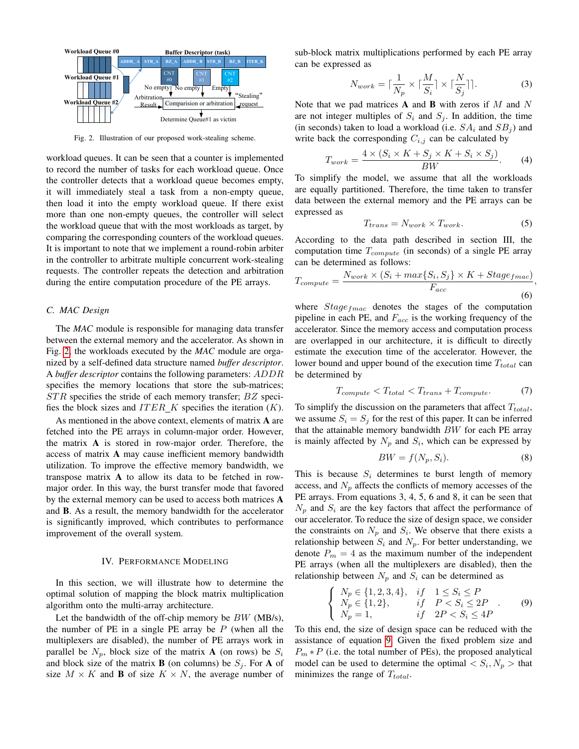

<span id="page-2-0"></span>Fig. 2. Illustration of our proposed work-stealing scheme.

workload queues. It can be seen that a counter is implemented to record the number of tasks for each workload queue. Once the controller detects that a workload queue becomes empty, it will immediately steal a task from a non-empty queue, then load it into the empty workload queue. If there exist more than one non-empty queues, the controller will select the workload queue that with the most workloads as target, by comparing the corresponding counters of the workload queues. It is important to note that we implement a round-robin arbiter in the controller to arbitrate multiple concurrent work-stealing requests. The controller repeats the detection and arbitration during the entire computation procedure of the PE arrays.

#### *C. MAC Design*

The *MAC* module is responsible for managing data transfer between the external memory and the accelerator. As shown in Fig. [2,](#page-2-0) the workloads executed by the *MAC* module are organized by a self-defined data structure named *buffer descriptor*. A *buffer descriptor* contains the following parameters: ADDR specifies the memory locations that store the sub-matrices;  $STR$  specifies the stride of each memory transfer;  $BZ$  specifies the block sizes and  $ITER_{K}$  specifies the iteration  $(K)$ .

As mentioned in the above context, elements of matrix A are fetched into the PE arrays in column-major order. However, the matrix A is stored in row-major order. Therefore, the access of matrix A may cause inefficient memory bandwidth utilization. To improve the effective memory bandwidth, we transpose matrix A to allow its data to be fetched in rowmajor order. In this way, the burst transfer mode that favored by the external memory can be used to access both matrices A and B. As a result, the memory bandwidth for the accelerator is significantly improved, which contributes to performance improvement of the overall system.

#### IV. PERFORMANCE MODELING

In this section, we will illustrate how to determine the optimal solution of mapping the block matrix multiplication algorithm onto the multi-array architecture.

Let the bandwidth of the off-chip memory be  $BW$  (MB/s), the number of PE in a single PE array be  $P$  (when all the multiplexers are disabled), the number of PE arrays work in parallel be  $N_p$ , block size of the matrix **A** (on rows) be  $S_i$ and block size of the matrix **B** (on columns) be  $S_i$ . For **A** of size  $M \times K$  and **B** of size  $K \times N$ , the average number of sub-block matrix multiplications performed by each PE array can be expressed as

$$
N_{work} = \lceil \frac{1}{N_p} \times \lceil \frac{M}{S_i} \rceil \times \lceil \frac{N}{S_j} \rceil \rceil. \tag{3}
$$

Note that we pad matrices **A** and **B** with zeros if  $M$  and  $N$ are not integer multiples of  $S_i$  and  $S_j$ . In addition, the time (in seconds) taken to load a workload (i.e.  $SA_i$  and  $SB_j$ ) and write back the corresponding  $C_{i,j}$  can be calculated by

$$
T_{work} = \frac{4 \times (S_i \times K + S_j \times K + S_i \times S_j)}{BW}.
$$
 (4)

To simplify the model, we assume that all the workloads are equally partitioned. Therefore, the time taken to transfer data between the external memory and the PE arrays can be expressed as

$$
T_{trans} = N_{work} \times T_{work}.
$$
 (5)

According to the data path described in section III, the computation time  $T_{compute}$  (in seconds) of a single PE array can be determined as follows:

$$
T_{compute} = \frac{N_{work} \times (S_i + max\{S_i, S_j\} \times K + Stage_{fmac})}{F_{acc}},
$$
\n(6)

where  $Stage_{fmac}$  denotes the stages of the computation pipeline in each PE, and  $F_{acc}$  is the working frequency of the accelerator. Since the memory access and computation process are overlapped in our architecture, it is difficult to directly estimate the execution time of the accelerator. However, the lower bound and upper bound of the execution time  $T_{total}$  can be determined by

$$
T_{compute} < T_{total} < T_{trans} + T_{compute}.\tag{7}
$$

To simplify the discussion on the parameters that affect  $T_{total}$ , we assume  $S_i = S_j$  for the rest of this paper. It can be inferred that the attainable memory bandwidth  $BW$  for each PE array is mainly affected by  $N_p$  and  $S_i$ , which can be expressed by

$$
BW = f(N_p, S_i). \tag{8}
$$

This is because  $S_i$  determines te burst length of memory access, and  $N_p$  affects the conflicts of memory accesses of the PE arrays. From equations 3, 4, 5, 6 and 8, it can be seen that  $N_p$  and  $S_i$  are the key factors that affect the performance of our accelerator. To reduce the size of design space, we consider the constraints on  $N_p$  and  $S_i$ . We observe that there exists a relationship between  $S_i$  and  $N_p$ . For better understanding, we denote  $P_m = 4$  as the maximum number of the independent PE arrays (when all the multiplexers are disabled), then the relationship between  $N_p$  and  $S_i$  can be determined as

<span id="page-2-1"></span>
$$
\begin{cases}\nN_p \in \{1, 2, 3, 4\}, & if \quad 1 \le S_i \le P \\
N_p \in \{1, 2\}, & if \quad P < S_i \le 2P \\
N_p = 1, & if \quad 2P < S_i \le 4P\n\end{cases}.
$$
\n(9)

To this end, the size of design space can be reduced with the assistance of equation [9.](#page-2-1) Given the fixed problem size and  $P_m * P$  (i.e. the total number of PEs), the proposed analytical model can be used to determine the optimal  $\langle S_i, N_p \rangle$  that minimizes the range of  $T_{total}$ .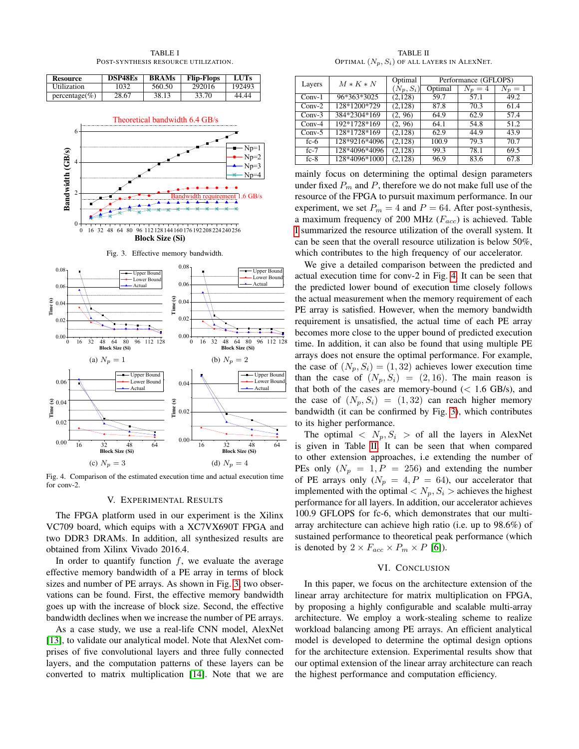TABLE I POST-SYNTHESIS RESOURCE UTILIZATION.

<span id="page-3-1"></span>

<span id="page-3-2"></span>(c)  $N_p = 3$ (d)  $N_p = 4$ Fig. 4. Comparison of the estimated execution time and actual execution time for conv-2.

0.00

16 32 48 64 **Block Size (Si)**

16 32 48 64 0.00 **Block Size (Si)**

#### V. EXPERIMENTAL RESULTS

The FPGA platform used in our experiment is the Xilinx VC709 board, which equips with a XC7VX690T FPGA and two DDR3 DRAMs. In addition, all synthesized results are obtained from Xilinx Vivado 2016.4.

In order to quantify function  $f$ , we evaluate the average effective memory bandwidth of a PE array in terms of block sizes and number of PE arrays. As shown in Fig. [3,](#page-3-0) two observations can be found. First, the effective memory bandwidth goes up with the increase of block size. Second, the effective bandwidth declines when we increase the number of PE arrays.

As a case study, we use a real-life CNN model, AlexNet [\[13\]](#page-4-10), to validate our analytical model. Note that AlexNet comprises of five convolutional layers and three fully connected layers, and the computation patterns of these layers can be converted to matrix multiplication [\[14\]](#page-4-11). Note that we are

TABLE II OPTIMAL  $(N_p, S_i)$  of all layers in AlexNet.

<span id="page-3-3"></span>

| Layers   | $M * K * N$   | Optimal      | Performance (GFLOPS) |           |         |
|----------|---------------|--------------|----------------------|-----------|---------|
|          |               | $(N_p, S_i)$ | Optimal              | $N_p = 4$ | $N_p=1$ |
| $Conv-1$ | 96*363*3025   | (2,128)      | 59.7                 | 57.1      | 49.2    |
| $Conv-2$ | 128*1200*729  | (2,128)      | 87.8                 | 70.3      | 61.4    |
| $Conv-3$ | 384*2304*169  | (2, 96)      | 64.9                 | 62.9      | 57.4    |
| $Conv-4$ | 192*1728*169  | (2, 96)      | 64.1                 | 54.8      | 51.2    |
| $Conv-5$ | 128*1728*169  | (2,128)      | 62.9                 | 44.9      | 43.9    |
| $fc-6$   | 128*9216*4096 | (2,128)      | 100.9                | 79.3      | 70.7    |
| $fc-7$   | 128*4096*4096 | (2,128)      | 99.3                 | 78.1      | 69.5    |
| $fc-8$   | 128*4096*1000 | (2,128)      | 96.9                 | 83.6      | 67.8    |

mainly focus on determining the optimal design parameters under fixed  $P_m$  and P, therefore we do not make full use of the resource of the FPGA to pursuit maximum performance. In our experiment, we set  $P_m = 4$  and  $P = 64$ . After post-synthesis, a maximum frequency of 200 MHz ( $F_{acc}$ ) is achieved. Table [I](#page-3-1) summarized the resource utilization of the overall system. It can be seen that the overall resource utilization is below 50%, which contributes to the high frequency of our accelerator.

<span id="page-3-0"></span>We give a detailed comparison between the predicted and actual execution time for conv-2 in Fig. [4.](#page-3-2) It can be seen that the predicted lower bound of execution time closely follows the actual measurement when the memory requirement of each PE array is satisfied. However, when the memory bandwidth requirement is unsatisfied, the actual time of each PE array becomes more close to the upper bound of predicted execution time. In addition, it can also be found that using multiple PE arrays does not ensure the optimal performance. For example, the case of  $(N_p, S_i) = (1, 32)$  achieves lower execution time than the case of  $(N_p, S_i) = (2, 16)$ . The main reason is that both of the cases are memory-bound  $(< 1.6$  GB/s), and the case of  $(N_p, S_i) = (1, 32)$  can reach higher memory bandwidth (it can be confirmed by Fig. [3\)](#page-3-0), which contributes to its higher performance.

The optimal  $\langle N_p, S_i \rangle$  of all the layers in AlexNet is given in Table [II.](#page-3-3) It can be seen that when compared to other extension approaches, i.e extending the number of PEs only  $(N_p = 1, P = 256)$  and extending the number of PE arrays only  $(N_p = 4, P = 64)$ , our accelerator that implemented with the optimal  $\langle N_p, S_i \rangle$  achieves the highest performance for all layers. In addition, our accelerator achieves 100.9 GFLOPS for fc-6, which demonstrates that our multiarray architecture can achieve high ratio (i.e. up to 98.6%) of sustained performance to theoretical peak performance (which is denoted by  $2 \times F_{acc} \times P_m \times P$  [\[6\]](#page-4-8)).

## VI. CONCLUSION

In this paper, we focus on the architecture extension of the linear array architecture for matrix multiplication on FPGA, by proposing a highly configurable and scalable multi-array architecture. We employ a work-stealing scheme to realize workload balancing among PE arrays. An efficient analytical model is developed to determine the optimal design options for the architecture extension. Experimental results show that our optimal extension of the linear array architecture can reach the highest performance and computation efficiency.